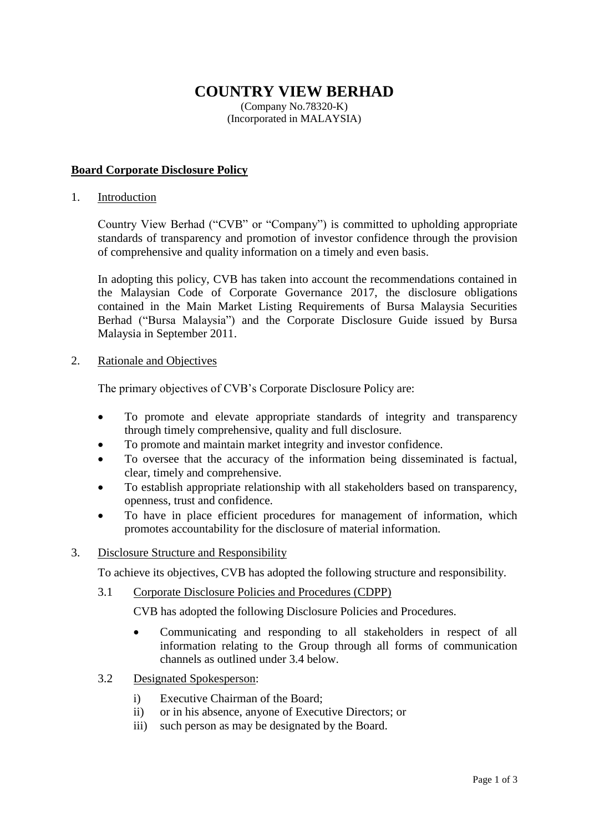# **COUNTRY VIEW BERHAD**

(Company No.78320-K) (Incorporated in MALAYSIA)

# **Board Corporate Disclosure Policy**

1. Introduction

Country View Berhad ("CVB" or "Company") is committed to upholding appropriate standards of transparency and promotion of investor confidence through the provision of comprehensive and quality information on a timely and even basis.

In adopting this policy, CVB has taken into account the recommendations contained in the Malaysian Code of Corporate Governance 2017, the disclosure obligations contained in the Main Market Listing Requirements of Bursa Malaysia Securities Berhad ("Bursa Malaysia") and the Corporate Disclosure Guide issued by Bursa Malaysia in September 2011.

# 2. Rationale and Objectives

The primary objectives of CVB's Corporate Disclosure Policy are:

- To promote and elevate appropriate standards of integrity and transparency through timely comprehensive, quality and full disclosure.
- To promote and maintain market integrity and investor confidence.
- To oversee that the accuracy of the information being disseminated is factual, clear, timely and comprehensive.
- To establish appropriate relationship with all stakeholders based on transparency, openness, trust and confidence.
- To have in place efficient procedures for management of information, which promotes accountability for the disclosure of material information.

# 3. Disclosure Structure and Responsibility

To achieve its objectives, CVB has adopted the following structure and responsibility.

3.1 Corporate Disclosure Policies and Procedures (CDPP)

CVB has adopted the following Disclosure Policies and Procedures.

- Communicating and responding to all stakeholders in respect of all information relating to the Group through all forms of communication channels as outlined under 3.4 below.
- 3.2 Designated Spokesperson:
	- i) Executive Chairman of the Board;
	- ii) or in his absence, anyone of Executive Directors; or
	- iii) such person as may be designated by the Board.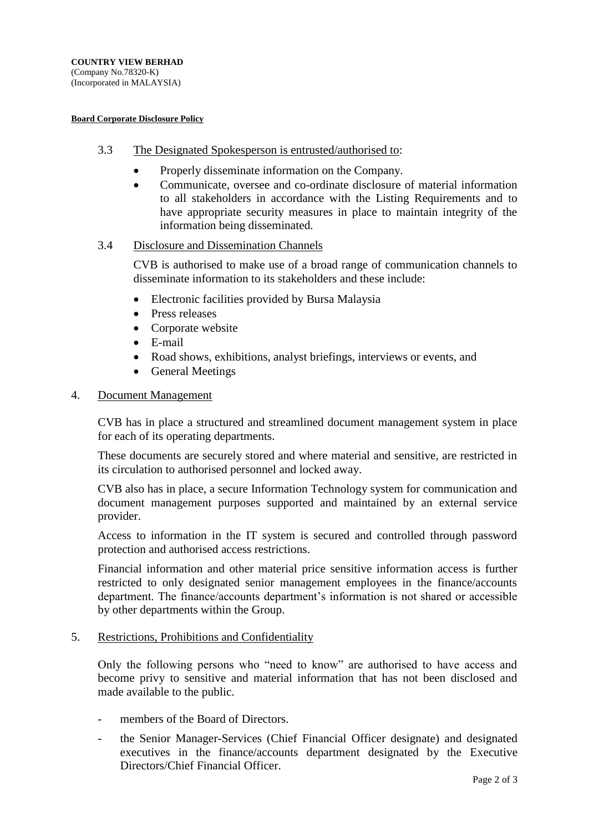(Incorporated in MALAYSIA)

#### **Board Corporate Disclosure Policy**

- 3.3 The Designated Spokesperson is entrusted/authorised to:
	- Properly disseminate information on the Company.
	- Communicate, oversee and co-ordinate disclosure of material information to all stakeholders in accordance with the Listing Requirements and to have appropriate security measures in place to maintain integrity of the information being disseminated.

# 3.4 Disclosure and Dissemination Channels

CVB is authorised to make use of a broad range of communication channels to disseminate information to its stakeholders and these include:

- Electronic facilities provided by Bursa Malaysia
- Press releases
- Corporate website
- E-mail
- Road shows, exhibitions, analyst briefings, interviews or events, and
- General Meetings

# 4. Document Management

CVB has in place a structured and streamlined document management system in place for each of its operating departments.

These documents are securely stored and where material and sensitive, are restricted in its circulation to authorised personnel and locked away.

CVB also has in place, a secure Information Technology system for communication and document management purposes supported and maintained by an external service provider.

Access to information in the IT system is secured and controlled through password protection and authorised access restrictions.

Financial information and other material price sensitive information access is further restricted to only designated senior management employees in the finance/accounts department. The finance/accounts department's information is not shared or accessible by other departments within the Group.

# 5. Restrictions, Prohibitions and Confidentiality

Only the following persons who "need to know" are authorised to have access and become privy to sensitive and material information that has not been disclosed and made available to the public.

- members of the Board of Directors.
- the Senior Manager-Services (Chief Financial Officer designate) and designated executives in the finance/accounts department designated by the Executive Directors/Chief Financial Officer.